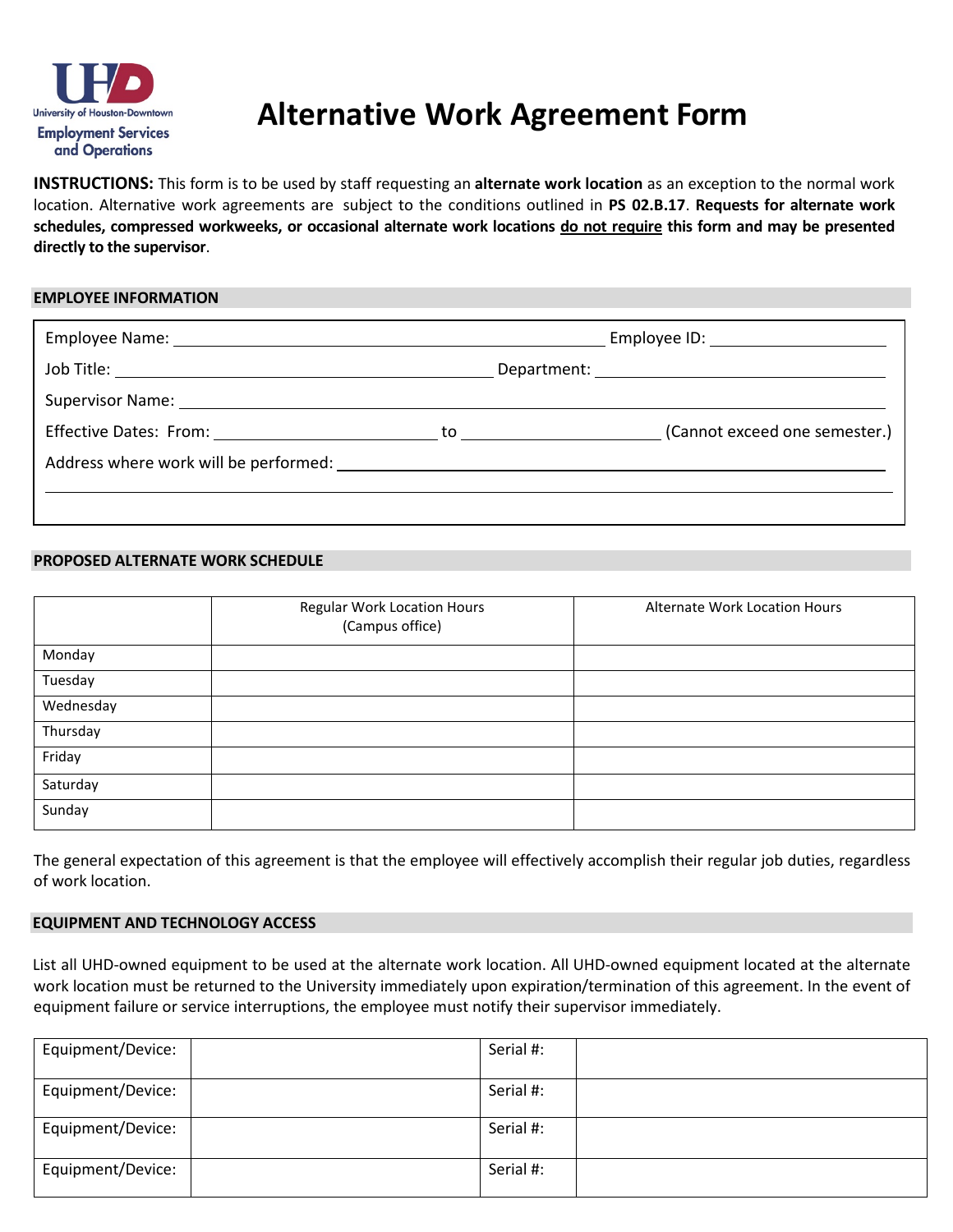

# **Alternative Work Agreement Form**

 **INSTRUCTIONS:** This form is to be used by staff requesting an **alternate work location** as an exception to the normal work location. Alternative work agreements are subject to the conditions outlined in **PS 02.B.17**. **Requests for alternate work schedules, compressed workweeks, or occasional alternate work locations do not require this form and may be presented directly to the supervisor**.

## **EMPLOYEE INFORMATION**

|                                                                                                                                                                                                                               |  | (Cannot exceed one semester.) |  |
|-------------------------------------------------------------------------------------------------------------------------------------------------------------------------------------------------------------------------------|--|-------------------------------|--|
| Address where work will be performed: Notify and the state of the state of the state of the state of the state of the state of the state of the state of the state of the state of the state of the state of the state of the |  |                               |  |
|                                                                                                                                                                                                                               |  |                               |  |
|                                                                                                                                                                                                                               |  |                               |  |

## **PROPOSED ALTERNATE WORK SCHEDULE**

|           | Regular Work Location Hours<br>(Campus office) | Alternate Work Location Hours |
|-----------|------------------------------------------------|-------------------------------|
| Monday    |                                                |                               |
| Tuesday   |                                                |                               |
| Wednesday |                                                |                               |
| Thursday  |                                                |                               |
| Friday    |                                                |                               |
| Saturday  |                                                |                               |
| Sunday    |                                                |                               |

 The general expectation of this agreement is that the employee will effectively accomplish their regular job duties, regardless of work location.

## **EQUIPMENT AND TECHNOLOGY ACCESS**

List all UHD-owned equipment to be used at the alternate work location. All UHD-owned equipment located at the alternate work location must be returned to the University immediately upon expiration/termination of this agreement. In the event of equipment failure or service interruptions, the employee must notify their supervisor immediately.

| Equipment/Device: | Serial #: |  |
|-------------------|-----------|--|
| Equipment/Device: | Serial #: |  |
| Equipment/Device: | Serial #: |  |
| Equipment/Device: | Serial #: |  |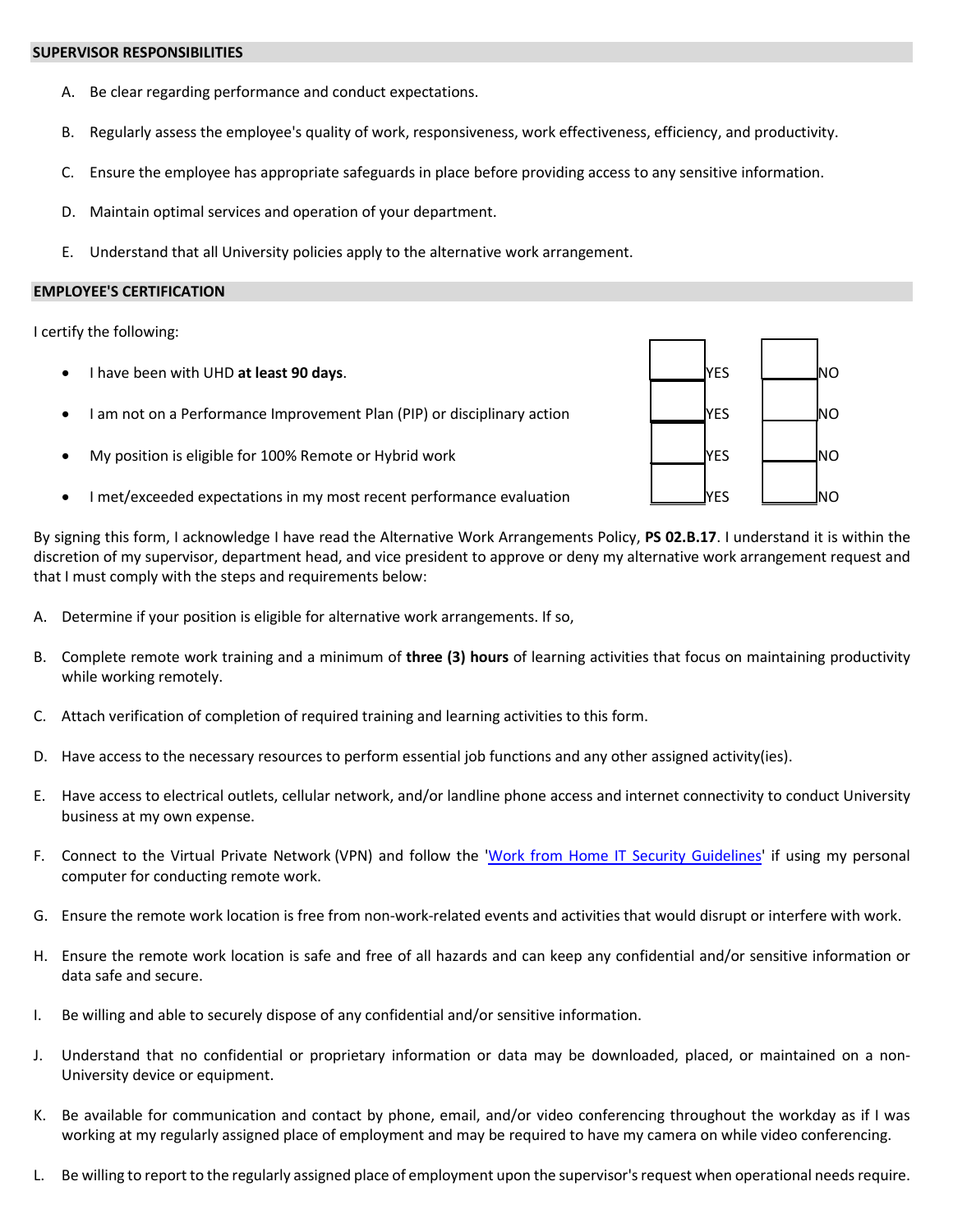#### **SUPERVISOR RESPONSIBILITIES**

- A. Be clear regarding performance and conduct expectations.
- B. Regularly assess the employee's quality of work, responsiveness, work effectiveness, efficiency, and productivity.
- C. Ensure the employee has appropriate safeguards in place before providing access to any sensitive information.
- D. Maintain optimal services and operation of your department.
- E. Understand that all University policies apply to the alternative work arrangement.

#### **EMPLOYEE'S CERTIFICATION**

I certify the following:

- I have been with UHD at least 90 days. And the set of the set of the set of the set of the set of the set of the set of the set of the set of the set of the set of the set of the set of the set of the set of the set of t
- I am not on a Performance Improvement Plan (PIP) or disciplinary action  $\Box$  YES  $\Box$  NO
- My position is eligible for 100% Remote or Hybrid work  $\Box$  YES  $\Box$ NO
- I met/exceeded expectations in my most recent performance evaluation NES NO NO NO



 By signing this form, I acknowledge I have read the Alternative Work Arrangements Policy, **PS 02.B.17**. I understand it is within the that I must comply with the steps and requirements below: discretion of my supervisor, department head, and vice president to approve or deny my alternative work arrangement request and

- A. Determine if your position is eligible for alternative work arrangements. If so,
- B. Complete remote work training and a minimum of **three (3) hours** of learning activities that focus on maintaining productivity while working remotely.
- C. Attach verification of completion of required training and learning activities to this form.
- D. Have access to the necessary resources to perform essential job functions and any other assigned activity(ies).
- E. Have access to electrical outlets, cellular network, and/or landline phone access and internet connectivity to conduct University business at my own expense.
- F. Connect to the Virtual Private Network (VPN) and follow the ['Work from Home IT Security Guidelines'](https://www.uhd.edu/computing/Pages/USS/Work-from-Home-IT-Security-Guidelines.aspx) if using my personal computer for conducting remote work.
- G. Ensure the remote work location is free from non-work-related events and activities that would disrupt or interfere with work.
- H. Ensure the remote work location is safe and free of all hazards and can keep any confidential and/or sensitive information or data safe and secure.
- I. Be willing and able to securely dispose of any confidential and/or sensitive information.
- J. Understand that no confidential or proprietary information or data may be downloaded, placed, or maintained on a non-University device or equipment.
- working at my regularly assigned place of employment and may be required to have my camera on while video conferencing. K. Be available for communication and contact by phone, email, and/or video conferencing throughout the workday as if I was
- L. Be willing to report to the regularly assigned place of employment upon the supervisor's request when operational needs require.